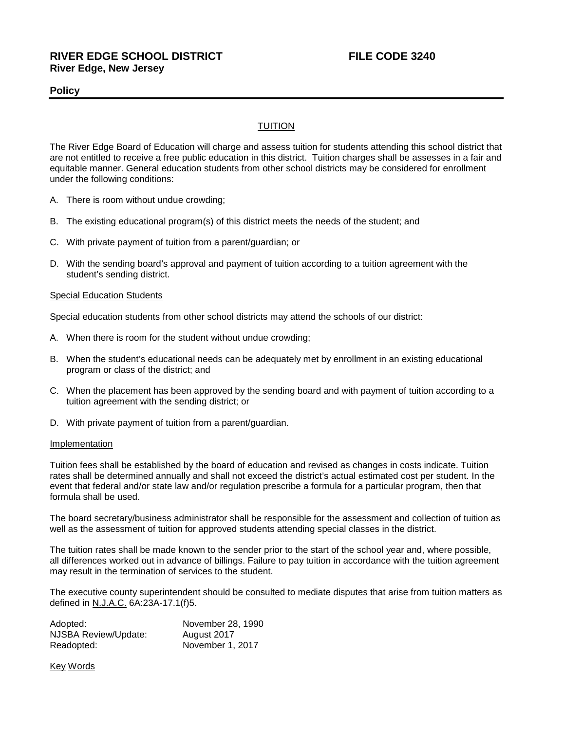## **Policy**

## TUITION

The River Edge Board of Education will charge and assess tuition for students attending this school district that are not entitled to receive a free public education in this district. Tuition charges shall be assesses in a fair and equitable manner. General education students from other school districts may be considered for enrollment under the following conditions:

- A. There is room without undue crowding;
- B. The existing educational program(s) of this district meets the needs of the student; and
- C. With private payment of tuition from a parent/guardian; or
- D. With the sending board's approval and payment of tuition according to a tuition agreement with the student's sending district.

### **Special Education Students**

Special education students from other school districts may attend the schools of our district:

- A. When there is room for the student without undue crowding;
- B. When the student's educational needs can be adequately met by enrollment in an existing educational program or class of the district; and
- C. When the placement has been approved by the sending board and with payment of tuition according to a tuition agreement with the sending district; or
- D. With private payment of tuition from a parent/guardian.

#### Implementation

Tuition fees shall be established by the board of education and revised as changes in costs indicate. Tuition rates shall be determined annually and shall not exceed the district's actual estimated cost per student. In the event that federal and/or state law and/or regulation prescribe a formula for a particular program, then that formula shall be used.

The board secretary/business administrator shall be responsible for the assessment and collection of tuition as well as the assessment of tuition for approved students attending special classes in the district.

The tuition rates shall be made known to the sender prior to the start of the school year and, where possible, all differences worked out in advance of billings. Failure to pay tuition in accordance with the tuition agreement may result in the termination of services to the student.

The executive county superintendent should be consulted to mediate disputes that arise from tuition matters as defined in N.J.A.C. 6A:23A-17.1(f)5.

| Adopted:                    | November 28, 1990 |
|-----------------------------|-------------------|
| <b>NJSBA Review/Update:</b> | August 2017       |
| Readopted:                  | November 1, 2017  |

Key Words